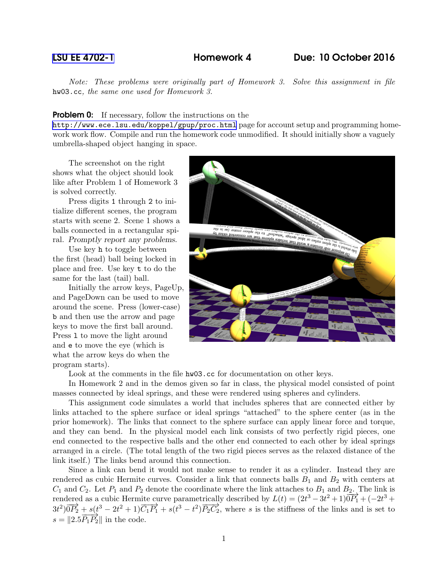## [LSU EE 4702-1](http://www.ece.lsu.edu/koppel/gpup/) Homework 4 Due: 10 October 2016

Note: These problems were originally part of Homework 3. Solve this assignment in file hw03.cc, the same one used for Homework 3.

**Problem 0:** If necessary, follow the instructions on the

<http://www.ece.lsu.edu/koppel/gpup/proc.html> page for account setup and programming homework work flow. Compile and run the homework code unmodified. It should initially show a vaguely umbrella-shaped object hanging in space.

The screenshot on the right shows what the object should look like after Problem 1 of Homework 3 is solved correctly.

Press digits 1 through 2 to initialize different scenes, the program starts with scene 2. Scene 1 shows a balls connected in a rectangular spiral. Promptly report any problems.

Use key h to toggle between the first (head) ball being locked in place and free. Use key t to do the same for the last (tail) ball.

Initially the arrow keys, PageUp, and PageDown can be used to move around the scene. Press (lower-case) b and then use the arrow and page keys to move the first ball around. Press l to move the light around and e to move the eye (which is what the arrow keys do when the program starts).



Look at the comments in the file  $h\text{w03}.\text{cc}$  for documentation on other keys.

In Homework 2 and in the demos given so far in class, the physical model consisted of point masses connected by ideal springs, and these were rendered using spheres and cylinders.

This assignment code simulates a world that includes spheres that are connected either by links attached to the sphere surface or ideal springs "attached" to the sphere center (as in the prior homework). The links that connect to the sphere surface can apply linear force and torque, and they can bend. In the physical model each link consists of two perfectly rigid pieces, one end connected to the respective balls and the other end connected to each other by ideal springs arranged in a circle. (The total length of the two rigid pieces serves as the relaxed distance of the link itself.) The links bend around this connection.

Since a link can bend it would not make sense to render it as a cylinder. Instead they are rendered as cubic Hermite curves. Consider a link that connects balls  $B_1$  and  $B_2$  with centers at  $C_1$  and  $C_2$ . Let  $P_1$  and  $P_2$  denote the coordinate where the link attaches to  $B_1$  and  $B_2$ . The link is rendered as a cubic Hermite curve parametrically described by  $L(t) = (2t^3 - 3t^2 + 1)\overrightarrow{0}P_1 + (-2t^3 +$  $3t^2$ ) $\overrightarrow{OP_2} + s(t^3 - 2t^2 + 1)\overrightarrow{C_1P_1} + s(t^3 - t^2)\overrightarrow{P_2C_2}$ , where s is the stiffness of the links and is set to  $s = ||2.5 \overrightarrow{P_1 P_2}||$  in the code.